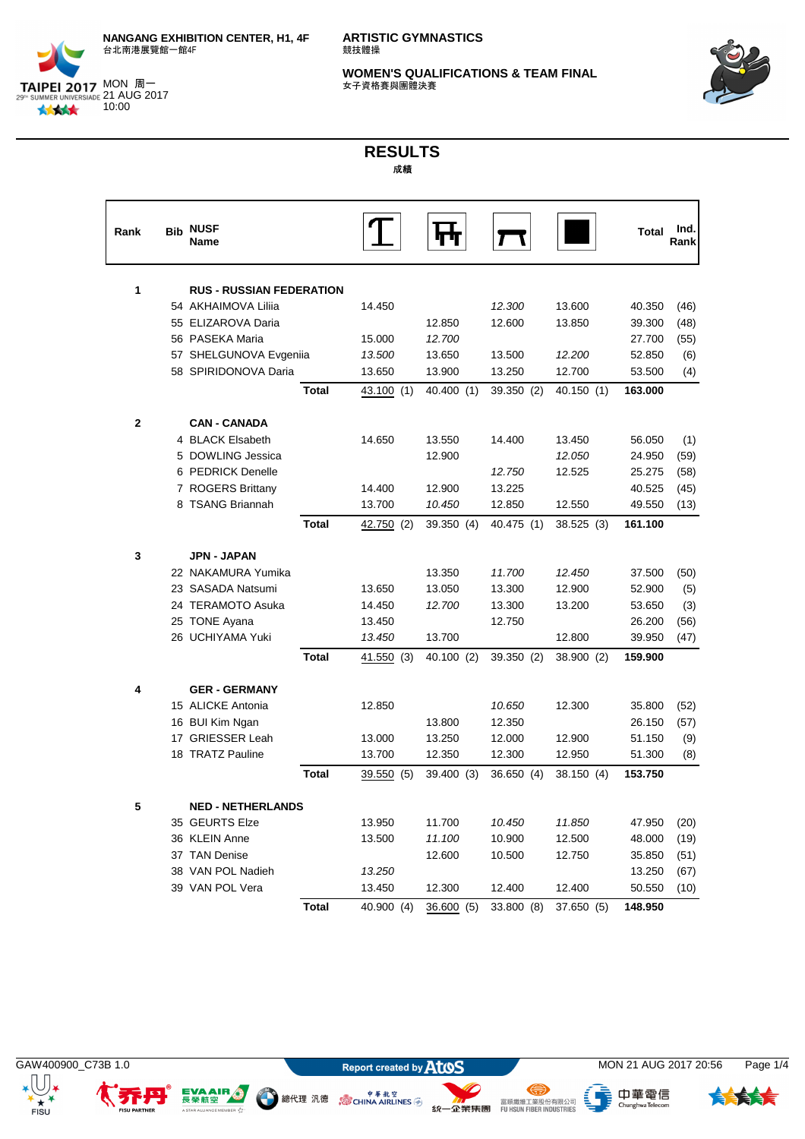



## **RESULTS** 成績

| Rank         | <b>Bib</b> | <b>NUSF</b><br>Name             |            |            |            |            | Total   | Ind.<br>Rank |
|--------------|------------|---------------------------------|------------|------------|------------|------------|---------|--------------|
| 1            |            | <b>RUS - RUSSIAN FEDERATION</b> |            |            |            |            |         |              |
|              |            | 54 AKHAIMOVA Lilija             | 14.450     |            | 12.300     | 13.600     | 40.350  | (46)         |
|              |            | 55 ELIZAROVA Daria              |            | 12.850     | 12.600     | 13.850     | 39.300  | (48)         |
|              |            | 56 PASEKA Maria                 | 15.000     | 12.700     |            |            | 27.700  | (55)         |
|              |            | 57 SHELGUNOVA Evgeniia          | 13.500     | 13.650     | 13.500     | 12.200     | 52.850  | (6)          |
|              |            | 58 SPIRIDONOVA Daria            | 13.650     | 13.900     | 13.250     | 12.700     | 53.500  | (4)          |
|              |            | <b>Total</b>                    | 43.100 (1) | 40.400 (1) | 39.350 (2) | 40.150 (1) | 163.000 |              |
| $\mathbf{2}$ |            | <b>CAN - CANADA</b>             |            |            |            |            |         |              |
|              |            | 4 BLACK Elsabeth                | 14.650     | 13.550     | 14.400     | 13.450     | 56.050  | (1)          |
|              |            | 5 DOWLING Jessica               |            | 12.900     |            | 12.050     | 24.950  | (59)         |
|              |            | 6 PEDRICK Denelle               |            |            | 12.750     | 12.525     | 25.275  | (58)         |
|              |            | 7 ROGERS Brittany               | 14.400     | 12.900     | 13.225     |            | 40.525  | (45)         |
|              |            | 8 TSANG Briannah                | 13.700     | 10.450     | 12.850     | 12.550     | 49.550  | (13)         |
|              |            | <b>Total</b>                    | 42.750 (2) | 39.350 (4) | 40.475 (1) | 38.525 (3) | 161.100 |              |
| 3            |            | <b>JPN - JAPAN</b>              |            |            |            |            |         |              |
|              |            | 22 NAKAMURA Yumika              |            | 13.350     | 11.700     | 12.450     | 37.500  | (50)         |
|              |            | 23 SASADA Natsumi               | 13.650     | 13.050     | 13.300     | 12.900     | 52.900  | (5)          |
|              |            | 24 TERAMOTO Asuka               | 14.450     | 12.700     | 13.300     | 13.200     | 53.650  | (3)          |
|              |            | 25 TONE Ayana                   | 13.450     |            | 12.750     |            | 26.200  | (56)         |
|              |            | 26 UCHIYAMA Yuki                | 13.450     | 13.700     |            | 12.800     | 39.950  | (47)         |
|              |            | <b>Total</b>                    | 41.550(3)  | 40.100 (2) | 39.350 (2) | 38.900 (2) | 159.900 |              |
| 4            |            | <b>GER - GERMANY</b>            |            |            |            |            |         |              |
|              |            | 15 ALICKE Antonia               | 12.850     |            | 10.650     | 12.300     | 35.800  | (52)         |
|              |            | 16 BUI Kim Ngan                 |            | 13.800     | 12.350     |            | 26.150  | (57)         |
|              |            | 17 GRIESSER Leah                | 13.000     | 13.250     | 12.000     | 12.900     | 51.150  | (9)          |
|              |            | 18 TRATZ Pauline                | 13.700     | 12.350     | 12.300     | 12.950     | 51.300  | (8)          |
|              |            | <b>Total</b>                    | 39.550 (5) | 39.400 (3) | 36.650 (4) | 38.150 (4) | 153.750 |              |
| 5            |            | <b>NED - NETHERLANDS</b>        |            |            |            |            |         |              |
|              |            | 35 GEURTS Elze                  | 13.950     | 11.700     | 10.450     | 11.850     | 47.950  | (20)         |
|              |            | 36 KLEIN Anne                   | 13.500     | 11.100     | 10.900     | 12.500     | 48.000  | (19)         |
|              |            | 37 TAN Denise                   |            | 12.600     | 10.500     | 12.750     | 35.850  | (51)         |
|              |            | 38 VAN POL Nadieh               | 13.250     |            |            |            | 13.250  | (67)         |
|              |            | 39 VAN POL Vera                 | 13.450     | 12.300     | 12.400     | 12.400     | 50.550  | (10)         |
|              |            | <b>Total</b>                    | 40.900 (4) | 36.600 (5) | 33.800 (8) | 37.650 (5) | 148.950 |              |

EVAAIR ...

R V<sup>4</sup>

A STAR ALLIANCE



、<br>- ChunghwaTelecom



⊜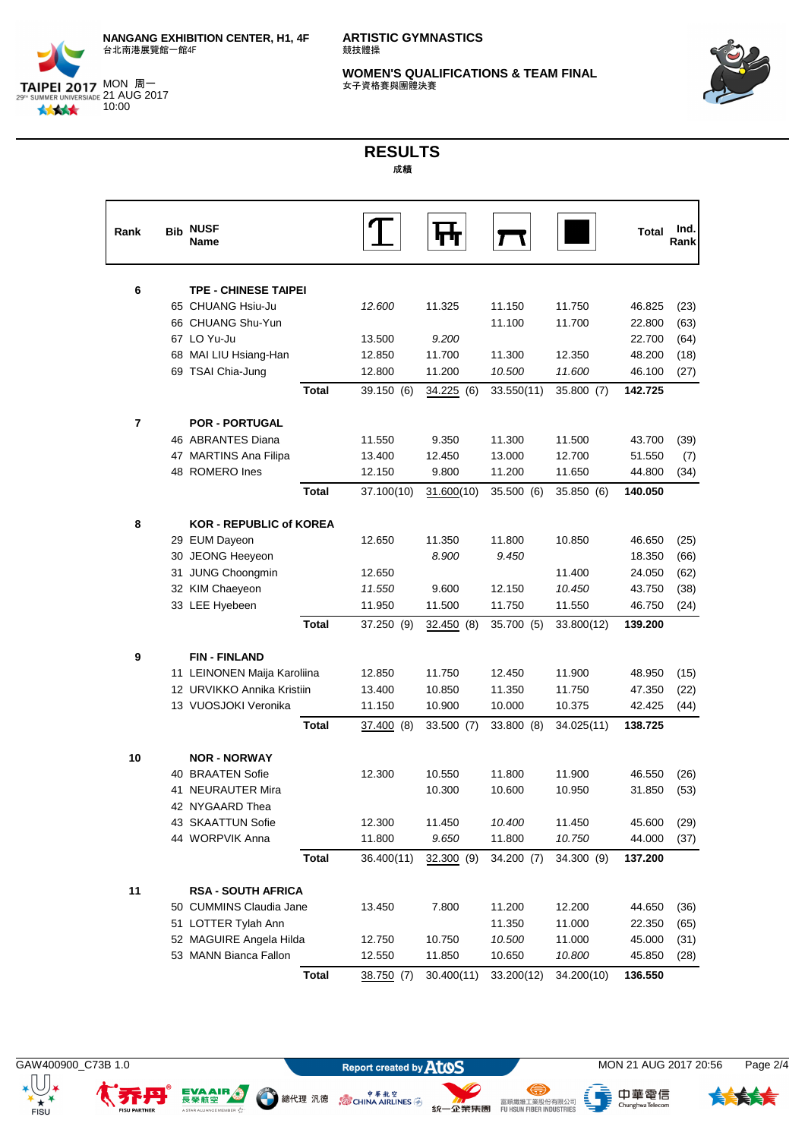



## **RESULTS** 成績

| Rank | <b>Bib NUSF</b><br><b>Name</b> |              |            |               |            |            | Total   | Ind.<br>Rank |
|------|--------------------------------|--------------|------------|---------------|------------|------------|---------|--------------|
| 6    | <b>TPE - CHINESE TAIPEI</b>    |              |            |               |            |            |         |              |
|      | 65 CHUANG Hsiu-Ju              |              | 12.600     | 11.325        | 11.150     | 11.750     | 46.825  | (23)         |
|      | 66 CHUANG Shu-Yun              |              |            |               | 11.100     | 11.700     | 22.800  | (63)         |
|      | 67 LO Yu-Ju                    |              | 13.500     | 9.200         |            |            | 22.700  | (64)         |
|      | 68 MAI LIU Hsiang-Han          |              | 12.850     | 11.700        | 11.300     | 12.350     | 48.200  | (18)         |
|      | 69 TSAI Chia-Jung              |              | 12.800     | 11.200        | 10.500     | 11.600     | 46.100  | (27)         |
|      |                                | <b>Total</b> | 39.150 (6) | 34.225 (6)    | 33.550(11) | 35.800 (7) | 142.725 |              |
| 7    | <b>POR - PORTUGAL</b>          |              |            |               |            |            |         |              |
|      | 46 ABRANTES Diana              |              | 11.550     | 9.350         | 11.300     | 11.500     | 43.700  | (39)         |
|      | 47 MARTINS Ana Filipa          |              | 13.400     | 12.450        | 13.000     | 12.700     | 51.550  | (7)          |
|      | 48 ROMERO Ines                 |              | 12.150     | 9.800         | 11.200     | 11.650     | 44.800  | (34)         |
|      |                                | <b>Total</b> | 37.100(10) | 31.600(10)    | 35.500 (6) | 35.850 (6) | 140.050 |              |
| 8    | <b>KOR - REPUBLIC of KOREA</b> |              |            |               |            |            |         |              |
|      | 29 EUM Dayeon                  |              | 12.650     | 11.350        | 11.800     | 10.850     | 46.650  | (25)         |
|      | 30 JEONG Heeyeon               |              |            | 8.900         | 9.450      |            | 18.350  | (66)         |
|      | 31 JUNG Choongmin              |              | 12.650     |               |            | 11.400     | 24.050  | (62)         |
|      | 32 KIM Chaeyeon                |              | 11.550     | 9.600         | 12.150     | 10.450     | 43.750  | (38)         |
|      | 33 LEE Hyebeen                 |              | 11.950     | 11.500        | 11.750     | 11.550     | 46.750  | (24)         |
|      |                                | <b>Total</b> | 37.250 (9) | 32.450<br>(8) | 35.700 (5) | 33.800(12) | 139.200 |              |
| 9    | <b>FIN-FINLAND</b>             |              |            |               |            |            |         |              |
|      | 11 LEINONEN Maija Karoliina    |              | 12.850     | 11.750        | 12.450     | 11.900     | 48.950  | (15)         |
|      | 12 URVIKKO Annika Kristiin     |              | 13.400     | 10.850        | 11.350     | 11.750     | 47.350  | (22)         |
|      | 13 VUOSJOKI Veronika           |              | 11.150     | 10.900        | 10.000     | 10.375     | 42.425  | (44)         |
|      |                                | <b>Total</b> | 37.400(8)  | 33.500 (7)    | 33.800 (8) | 34.025(11) | 138.725 |              |
| 10   | <b>NOR - NORWAY</b>            |              |            |               |            |            |         |              |
|      | 40 BRAATEN Sofie               |              | 12.300     | 10.550        | 11.800     | 11.900     | 46.550  | (26)         |
|      | 41 NEURAUTER Mira              |              |            | 10.300        | 10.600     | 10.950     | 31.850  | (53)         |
|      | 42 NYGAARD Thea                |              |            |               |            |            |         |              |
|      | 43 SKAATTUN Sofie              |              | 12.300     | 11.450        | 10.400     | 11.450     | 45.600  | (29)         |
|      | 44 WORPVIK Anna                |              | 11.800     | 9.650         | 11.800     | 10.750     | 44.000  | (37)         |
|      |                                | <b>Total</b> | 36.400(11) | 32.300 (9)    | 34.200 (7) | 34.300 (9) | 137.200 |              |
| 11   | <b>RSA - SOUTH AFRICA</b>      |              |            |               |            |            |         |              |
|      | 50 CUMMINS Claudia Jane        |              | 13.450     | 7.800         | 11.200     | 12.200     | 44.650  | (36)         |
|      | 51 LOTTER Tylah Ann            |              |            |               | 11.350     | 11.000     | 22.350  | (65)         |
|      | 52 MAGUIRE Angela Hilda        |              | 12.750     | 10.750        | 10.500     | 11.000     | 45.000  | (31)         |
|      | 53 MANN Bianca Fallon          |              | 12.550     | 11.850        | 10.650     | 10.800     | 45.850  | (28)         |
|      |                                | <b>Total</b> | 38.750 (7) | 30.400(11)    | 33.200(12) | 34.200(10) | 136.550 |              |



EVAAIR ...

n v<sup>4</sup>r

A STAR ALLIANCE

 $+ +$ 

<sup>中華航空</sup>線代理 汎德 (SCHINA AIRLINES )



GAW400900\_C73B 1.0 **MON 21 AUG 2017 20:56** Page 2/4

、<br>- ChunghwaTelecom

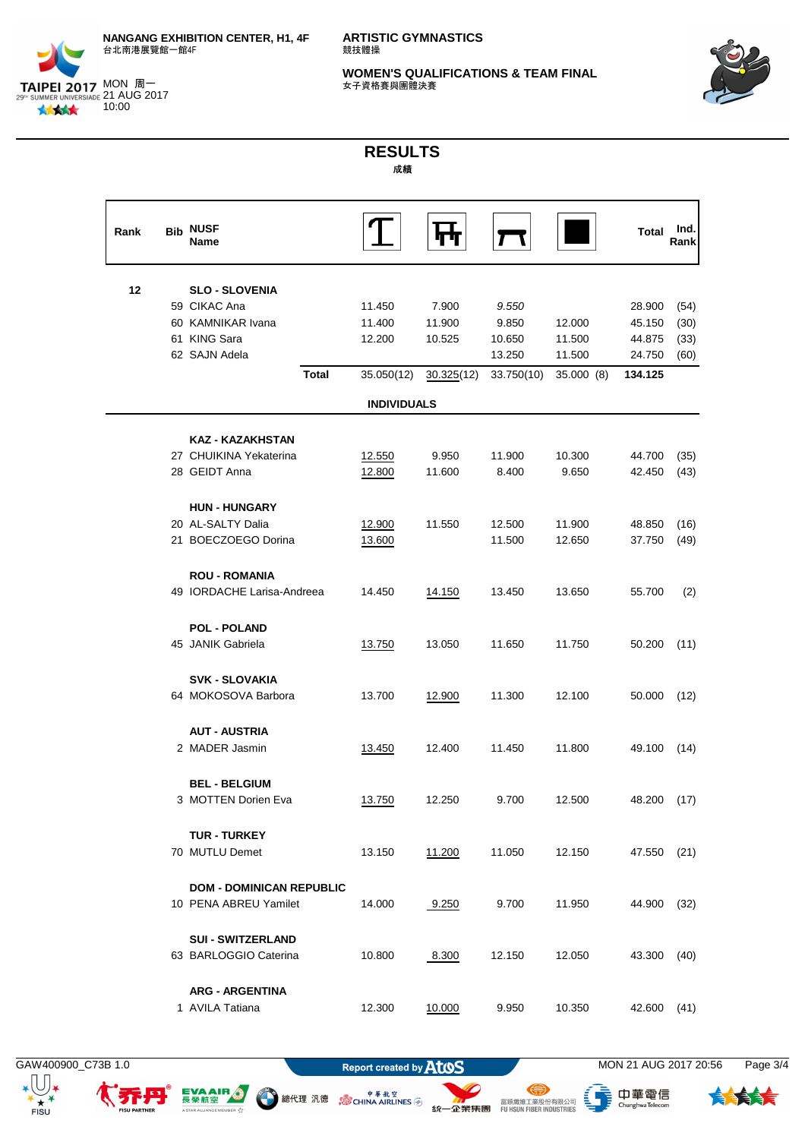



## **RESULTS** 成績

| Rank | <b>Bib</b> | <b>NUSF</b><br>Name                                |                    |            |            |            | Total   | Ind<br>Rank |
|------|------------|----------------------------------------------------|--------------------|------------|------------|------------|---------|-------------|
| 12   |            | <b>SLO - SLOVENIA</b>                              |                    |            |            |            |         |             |
|      |            | 59 CIKAC Ana                                       | 11.450             | 7.900      | 9.550      |            | 28.900  | (54)        |
|      |            | 60 KAMNIKAR Ivana                                  | 11.400             | 11.900     | 9.850      | 12.000     | 45.150  | (30)        |
|      |            | 61 KING Sara                                       | 12.200             | 10.525     | 10.650     | 11.500     | 44.875  | (33)        |
|      |            | 62 SAJN Adela                                      |                    |            | 13.250     | 11.500     | 24.750  | (60)        |
|      |            | <b>Total</b>                                       | 35.050(12)         | 30.325(12) | 33.750(10) | 35.000 (8) | 134.125 |             |
|      |            |                                                    | <b>INDIVIDUALS</b> |            |            |            |         |             |
|      |            |                                                    |                    |            |            |            |         |             |
|      |            | <b>KAZ - KAZAKHSTAN</b>                            |                    |            |            |            |         |             |
|      |            | 27 CHUIKINA Yekaterina                             | 12.550             | 9.950      | 11.900     | 10.300     | 44.700  | (35)        |
|      |            | 28 GEIDT Anna                                      | 12.800             | 11.600     | 8.400      | 9.650      | 42.450  | (43)        |
|      |            | <b>HUN - HUNGARY</b>                               |                    |            |            |            |         |             |
|      |            | 20 AL-SALTY Dalia                                  | 12.900             | 11.550     | 12.500     | 11.900     | 48.850  | (16)        |
|      |            | 21 BOECZOEGO Dorina                                | 13.600             |            | 11.500     | 12.650     | 37.750  | (49)        |
|      |            |                                                    |                    |            |            |            |         |             |
|      |            | <b>ROU - ROMANIA</b><br>49 IORDACHE Larisa-Andreea | 14.450             |            | 13.450     |            |         |             |
|      |            |                                                    |                    | 14.150     |            | 13.650     | 55.700  | (2)         |
|      |            | <b>POL - POLAND</b>                                |                    |            |            |            |         |             |
|      |            | 45 JANIK Gabriela                                  | 13.750             | 13.050     | 11.650     | 11.750     | 50.200  | (11)        |
|      |            |                                                    |                    |            |            |            |         |             |
|      |            | <b>SVK - SLOVAKIA</b>                              |                    |            |            |            |         |             |
|      |            | 64 MOKOSOVA Barbora                                | 13.700             | 12.900     | 11.300     | 12.100     | 50.000  | (12)        |
|      |            | <b>AUT - AUSTRIA</b>                               |                    |            |            |            |         |             |
|      |            | 2 MADER Jasmin                                     | 13.450             | 12.400     | 11.450     | 11.800     | 49.100  | (14)        |
|      |            |                                                    |                    |            |            |            |         |             |
|      |            | <b>BEL - BELGIUM</b>                               |                    |            |            |            |         |             |
|      |            | 3 MOTTEN Dorien Eva                                | 13.750             | 12.250     | 9.700      | 12.500     | 48.200  | (17)        |
|      |            | <b>TUR - TURKEY</b>                                |                    |            |            |            |         |             |
|      |            | 70 MUTLU Demet                                     | 13.150             | 11.200     | 11.050     | 12.150     | 47.550  | (21)        |
|      |            |                                                    |                    |            |            |            |         |             |
|      |            | <b>DOM - DOMINICAN REPUBLIC</b>                    |                    |            |            |            |         |             |
|      |            | 10 PENA ABREU Yamilet                              | 14.000             | 9.250      | 9.700      | 11.950     | 44.900  | (32)        |
|      |            | <b>SUI - SWITZERLAND</b>                           |                    |            |            |            |         |             |
|      |            | 63 BARLOGGIO Caterina                              | 10.800             | 8.300      | 12.150     | 12.050     | 43.300  | (40)        |
|      |            |                                                    |                    |            |            |            |         |             |
|      |            | <b>ARG - ARGENTINA</b>                             |                    |            |            |            |         |             |
|      |            | 1 AVILA Tatiana                                    | 12.300             | 10.000     | 9.950      | 10.350     | 42.600  | (41)        |

 $\star$   $\boxed{\cup}$   $\star$  $+ +$ 

EVAAIR O

R V<sup>4</sup>

A STAR ALLIANCE

⊜

● 總代理 汎德 。 。 ● <sup>申 革 航 空</sup>

GAW400900\_C73B 1.0 **MON 21 AUG 2017 20:56** Page 3/4

、<br>- Chunghwa Telecom